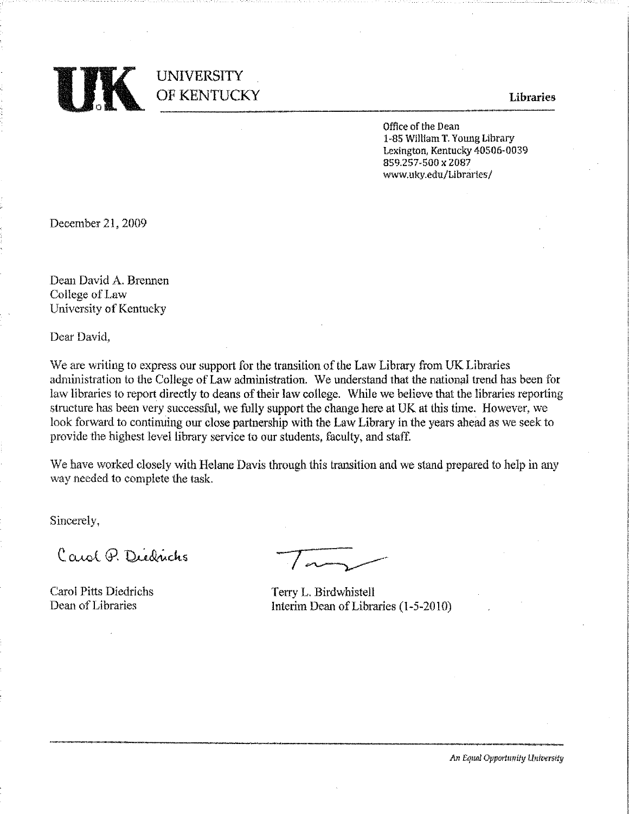

# **UNIVERSITY** OF KENTUCKY

**Libraries** 

Office of the Dean 1-85 William T. Young Library Lexington, Kentucky 40506-0039 859.257-500 x 2087 www.ukv.edu/Libraries/

December 21, 2009

Dean David A. Brennen College of Law University of Kentucky

Dear David.

We are writing to express our support for the transition of the Law Library from UK Libraries administration to the College of Law administration. We understand that the national trend has been for law libraries to report directly to deans of their law college. While we believe that the libraries reporting structure has been very successful, we fully support the change here at UK at this time. However, we look forward to continuing our close partnership with the Law Library in the years ahead as we seek to provide the highest level library service to our students, faculty, and staff.

We have worked closely with Helane Davis through this transition and we stand prepared to help in any way needed to complete the task.

Sincerely,

Carol Q. Didrichs

**Carol Pitts Diedrichs** Dean of Libraries

Terry L. Birdwhistell Interim Dean of Libraries (1-5-2010)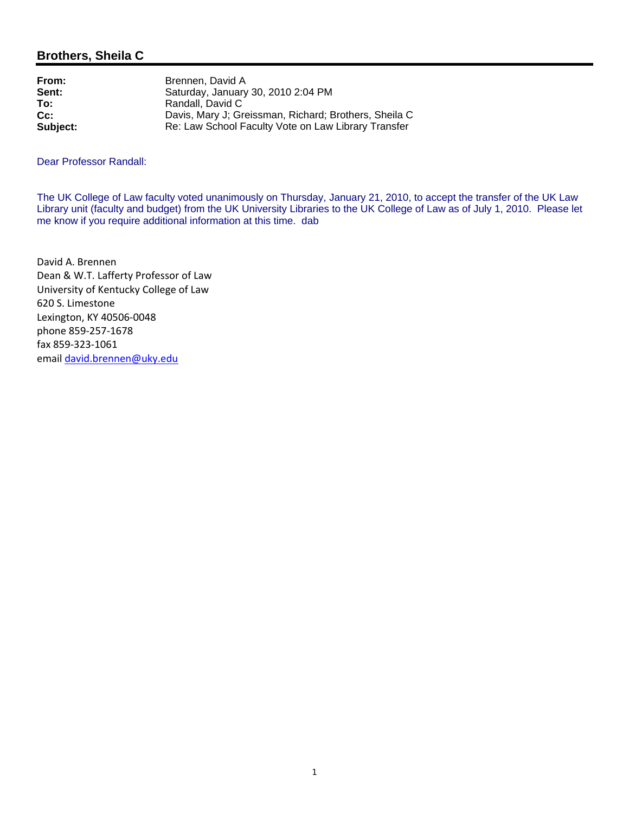# **Brothers, Sheila C**

| Brennen. David A                                      |
|-------------------------------------------------------|
| Saturday, January 30, 2010 2:04 PM                    |
| Randall, David C                                      |
| Davis, Mary J; Greissman, Richard; Brothers, Sheila C |
| Re: Law School Faculty Vote on Law Library Transfer   |
|                                                       |

Dear Professor Randall:

The UK College of Law faculty voted unanimously on Thursday, January 21, 2010, to accept the transfer of the UK Law Library unit (faculty and budget) from the UK University Libraries to the UK College of Law as of July 1, 2010. Please let me know if you require additional information at this time. dab

David A. Brennen Dean & W.T. Lafferty Professor of Law University of Kentucky College of Law 620 S. Limestone Lexington, KY 40506‐0048 phone 859‐257‐1678 fax 859‐323‐1061 email david.brennen@uky.edu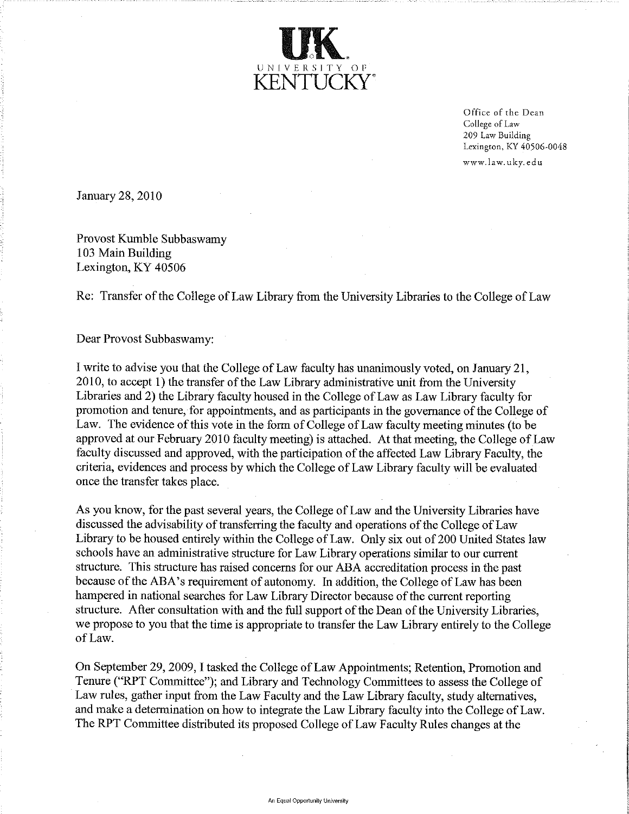

Office of the Dean College of Law 209 Law Building Lexington, KY 40506-0048 www.law.uky.edu

January 28, 2010

Provost Kumble Subbaswamy 103 Main Building Lexington, KY 40506

Re: Transfer of the College of Law Library from the University Libraries to the College of Law

Dear Provost Subbaswamy:

I write to advise you that the College of Law faculty has unanimously voted, on January 21, 2010, to accept 1) the transfer of the Law Library administrative unit from the University Libraries and 2) the Library faculty housed in the College of Law as Law Library faculty for promotion and tenure, for appointments, and as participants in the governance of the College of Law. The evidence of this vote in the form of College of Law faculty meeting minutes (to be approved at our February 2010 faculty meeting) is attached. At that meeting, the College of Law faculty discussed and approved, with the participation of the affected Law Library Faculty, the criteria, evidences and process by which the College of Law Library faculty will be evaluated once the transfer takes place.

As you know, for the past several years, the College of Law and the University Libraries have discussed the advisability of transferring the faculty and operations of the College of Law Library to be housed entirely within the College of Law. Only six out of 200 United States law schools have an administrative structure for Law Library operations similar to our current structure. This structure has raised concerns for our ABA accreditation process in the past because of the ABA's requirement of autonomy. In addition, the College of Law has been hampered in national searches for Law Library Director because of the current reporting structure. After consultation with and the full support of the Dean of the University Libraries, we propose to you that the time is appropriate to transfer the Law Library entirely to the College of Law.

On September 29, 2009, I tasked the College of Law Appointments; Retention, Promotion and Tenure ("RPT Committee"); and Library and Technology Committees to assess the College of Law rules, gather input from the Law Faculty and the Law Library faculty, study alternatives, and make a determination on how to integrate the Law Library faculty into the College of Law. The RPT Committee distributed its proposed College of Law Faculty Rules changes at the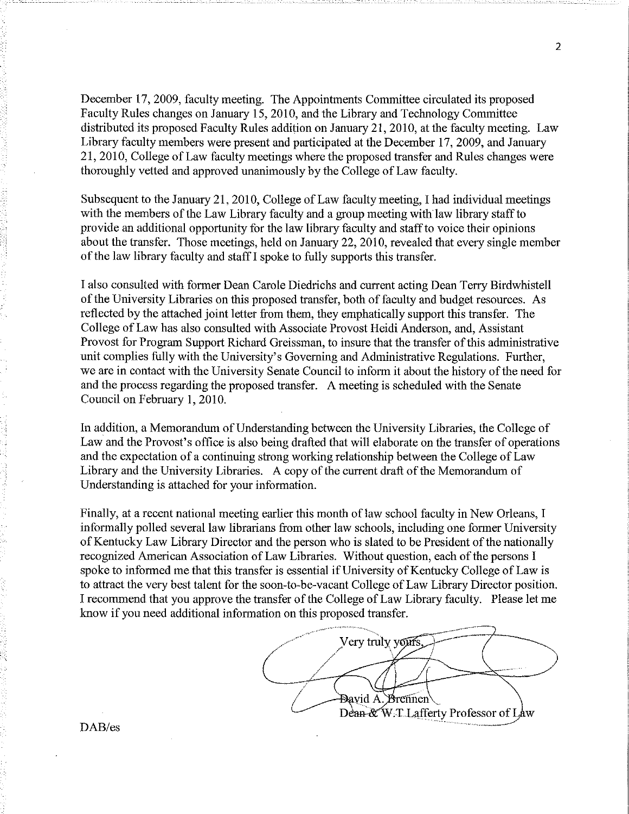December 17, 2009, faculty meeting. The Appointments Committee circulated its proposed Faculty Rules changes on January 15, 2010, and the Library and Technology Committee distributed its proposed Faculty Rules addition on January 21, 2010, at the faculty meeting. Law Library faculty members were present and participated at the December 17, 2009, and January 21, 2010, College of Law faculty meetings where the proposed transfer and Rules changes were thoroughly vetted and approved unanimously by the College of Law faculty.

Subsequent to the January 21, 2010, College of Law faculty meeting, I had individual meetings with the members of the Law Library faculty and a group meeting with law library staff to provide an additional opportunity for the law library faculty and staff to voice their opinions about the transfer. Those meetings, held on January 22, 2010, revealed that every single member of the law library faculty and staff I spoke to fully supports this transfer.

I also consulted with former Dean Carole Diedrichs and current acting Dean Terry Birdwhistell of the University Libraries on this proposed transfer, both of faculty and budget resources. As reflected by the attached joint letter from them, they emphatically support this transfer. The College of Law has also consulted with Associate Provost Heidi Anderson, and, Assistant Provost for Program Support Richard Greissman, to insure that the transfer of this administrative unit complies fully with the University's Governing and Administrative Regulations. Further, we are in contact with the University Senate Council to inform it about the history of the need for and the process regarding the proposed transfer. A meeting is scheduled with the Senate Council on February 1, 2010.

In addition, a Memorandum of Understanding between the University Libraries, the College of Law and the Provost's office is also being drafted that will elaborate on the transfer of operations and the expectation of a continuing strong working relationship between the College of Law Library and the University Libraries. A copy of the current draft of the Memorandum of Understanding is attached for your information.

Finally, at a recent national meeting earlier this month of law school faculty in New Orleans, I informally polled several law librarians from other law schools, including one former University of Kentucky Law Library Director and the person who is slated to be President of the nationally recognized American Association of Law Libraries. Without question, each of the persons I spoke to informed me that this transfer is essential if University of Kentucky College of Law is to attract the very best talent for the soon-to-be-vacant College of Law Library Director position. I recommend that you approve the transfer of the College of Law Library faculty. Please let me know if you need additional information on this proposed transfer.

Very truly yours. Bavid A. Brennen Dean-&W.T.Lafferty Professor of Law

 $\overline{2}$ 

DAB/es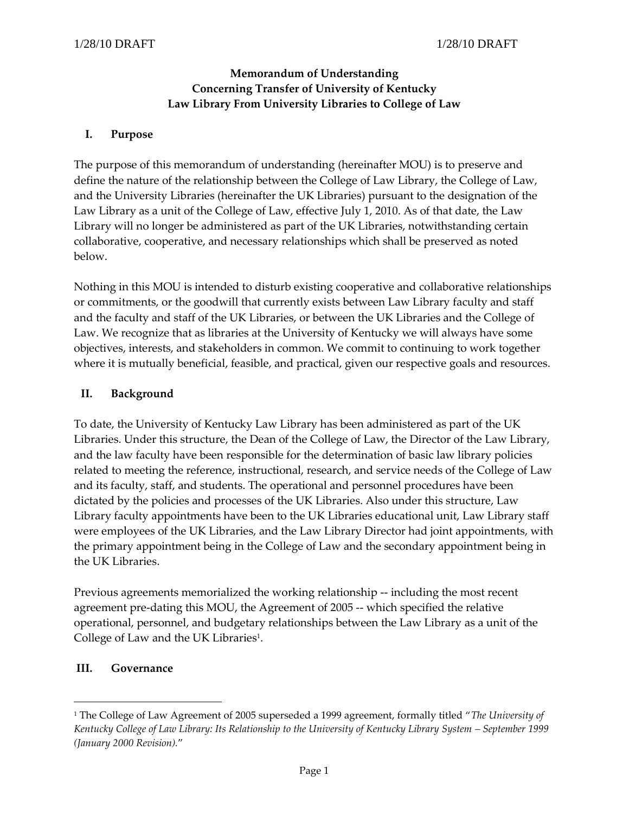## **Memorandum of Understanding Concerning Transfer of University of Kentucky Law Library From University Libraries to College of Law**

#### **I. Purpose**

The purpose of this memorandum of understanding (hereinafter MOU) is to preserve and define the nature of the relationship between the College of Law Library, the College of Law, and the University Libraries (hereinafter the UK Libraries) pursuant to the designation of the Law Library as a unit of the College of Law, effective July 1, 2010. As of that date, the Law Library will no longer be administered as part of the UK Libraries, notwithstanding certain collaborative, cooperative, and necessary relationships which shall be preserved as noted below.

Nothing in this MOU is intended to disturb existing cooperative and collaborative relationships or commitments, or the goodwill that currently exists between Law Library faculty and staff and the faculty and staff of the UK Libraries, or between the UK Libraries and the College of Law. We recognize that as libraries at the University of Kentucky we will always have some objectives, interests, and stakeholders in common. We commit to continuing to work together where it is mutually beneficial, feasible, and practical, given our respective goals and resources.

#### **II. Background**

To date, the University of Kentucky Law Library has been administered as part of the UK Libraries. Under this structure, the Dean of the College of Law, the Director of the Law Library, and the law faculty have been responsible for the determination of basic law library policies related to meeting the reference, instructional, research, and service needs of the College of Law and its faculty, staff, and students. The operational and personnel procedures have been dictated by the policies and processes of the UK Libraries. Also under this structure, Law Library faculty appointments have been to the UK Libraries educational unit, Law Library staff were employees of the UK Libraries, and the Law Library Director had joint appointments, with the primary appointment being in the College of Law and the secondary appointment being in the UK Libraries.

Previous agreements memorialized the working relationship -- including the most recent agreement pre-dating this MOU, the Agreement of 2005 -- which specified the relative operational, personnel, and budgetary relationships between the Law Library as a unit of the College of Law and the UK Libraries<sup>1</sup>.

#### **III. Governance**

 $\overline{a}$ 

<sup>1</sup> The College of Law Agreement of 2005 superseded a 1999 agreement, formally titled "*The University of Kentucky College of Law Library: Its Relationship to the University of Kentucky Library System – September 1999 (January 2000 Revision).*"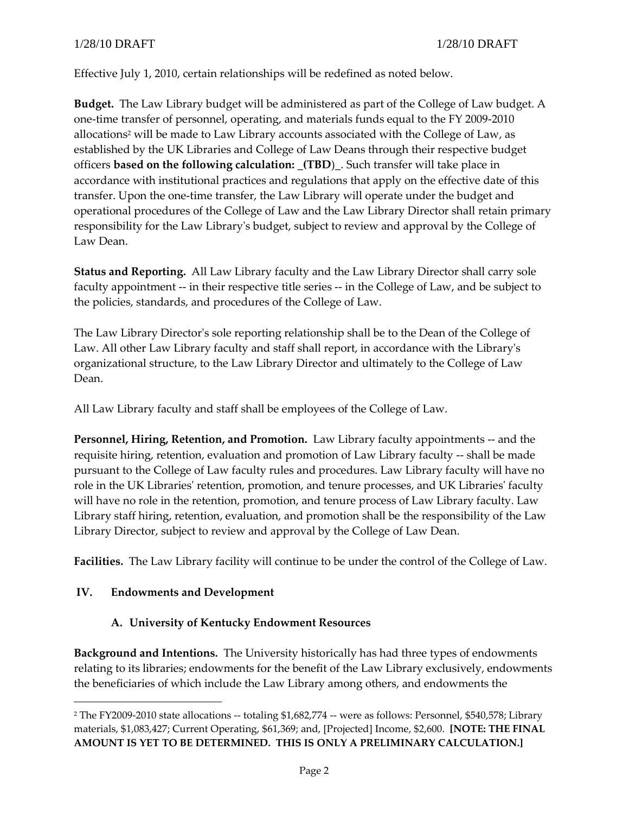Effective July 1, 2010, certain relationships will be redefined as noted below.

**Budget.** The Law Library budget will be administered as part of the College of Law budget. A one-time transfer of personnel, operating, and materials funds equal to the FY 2009-2010 allocations<sup>2</sup> will be made to Law Library accounts associated with the College of Law, as established by the UK Libraries and College of Law Deans through their respective budget officers **based on the following calculation: \_(TBD**)\_. Such transfer will take place in accordance with institutional practices and regulations that apply on the effective date of this transfer. Upon the one-time transfer, the Law Library will operate under the budget and operational procedures of the College of Law and the Law Library Director shall retain primary responsibility for the Law Library's budget, subject to review and approval by the College of Law Dean.

**Status and Reporting.** All Law Library faculty and the Law Library Director shall carry sole faculty appointment -- in their respective title series -- in the College of Law, and be subject to the policies, standards, and procedures of the College of Law.

The Law Library Director's sole reporting relationship shall be to the Dean of the College of Law. All other Law Library faculty and staff shall report, in accordance with the Library's organizational structure, to the Law Library Director and ultimately to the College of Law Dean.

All Law Library faculty and staff shall be employees of the College of Law.

**Personnel, Hiring, Retention, and Promotion.** Law Library faculty appointments -- and the requisite hiring, retention, evaluation and promotion of Law Library faculty -- shall be made pursuant to the College of Law faculty rules and procedures. Law Library faculty will have no role in the UK Libraries' retention, promotion, and tenure processes, and UK Libraries' faculty will have no role in the retention, promotion, and tenure process of Law Library faculty. Law Library staff hiring, retention, evaluation, and promotion shall be the responsibility of the Law Library Director, subject to review and approval by the College of Law Dean.

**Facilities.** The Law Library facility will continue to be under the control of the College of Law.

## **IV. Endowments and Development**

 $\overline{a}$ 

## **A. University of Kentucky Endowment Resources**

**Background and Intentions.** The University historically has had three types of endowments relating to its libraries; endowments for the benefit of the Law Library exclusively, endowments the beneficiaries of which include the Law Library among others, and endowments the

<sup>2</sup> The FY2009-2010 state allocations -- totaling \$1,682,774 -- were as follows: Personnel, \$540,578; Library materials, \$1,083,427; Current Operating, \$61,369; and, [Projected] Income, \$2,600. **[NOTE: THE FINAL AMOUNT IS YET TO BE DETERMINED. THIS IS ONLY A PRELIMINARY CALCULATION.]**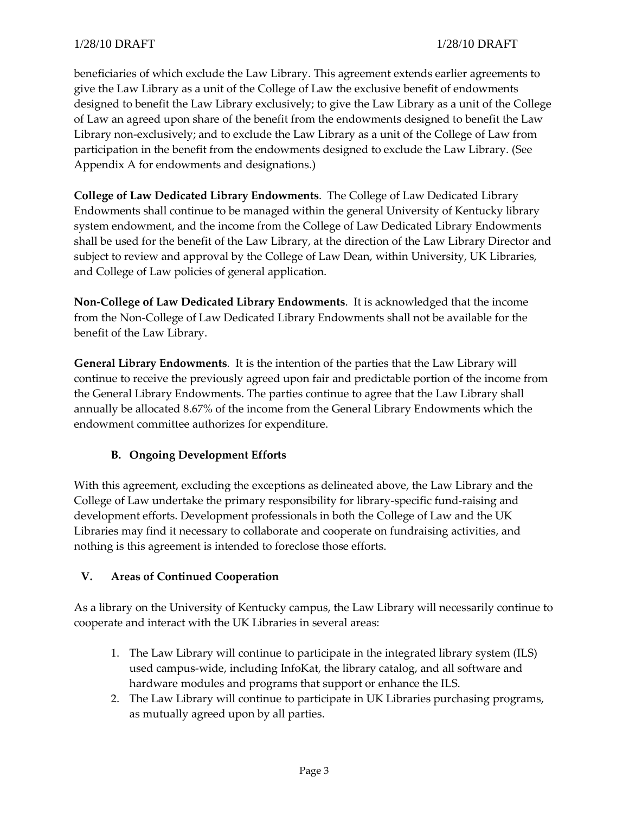beneficiaries of which exclude the Law Library. This agreement extends earlier agreements to give the Law Library as a unit of the College of Law the exclusive benefit of endowments designed to benefit the Law Library exclusively; to give the Law Library as a unit of the College of Law an agreed upon share of the benefit from the endowments designed to benefit the Law Library non-exclusively; and to exclude the Law Library as a unit of the College of Law from participation in the benefit from the endowments designed to exclude the Law Library. (See Appendix A for endowments and designations.)

**College of Law Dedicated Library Endowments**. The College of Law Dedicated Library Endowments shall continue to be managed within the general University of Kentucky library system endowment, and the income from the College of Law Dedicated Library Endowments shall be used for the benefit of the Law Library, at the direction of the Law Library Director and subject to review and approval by the College of Law Dean, within University, UK Libraries, and College of Law policies of general application.

**Non-College of Law Dedicated Library Endowments**. It is acknowledged that the income from the Non-College of Law Dedicated Library Endowments shall not be available for the benefit of the Law Library.

**General Library Endowments**. It is the intention of the parties that the Law Library will continue to receive the previously agreed upon fair and predictable portion of the income from the General Library Endowments. The parties continue to agree that the Law Library shall annually be allocated 8.67% of the income from the General Library Endowments which the endowment committee authorizes for expenditure.

# **B. Ongoing Development Efforts**

With this agreement, excluding the exceptions as delineated above, the Law Library and the College of Law undertake the primary responsibility for library-specific fund-raising and development efforts. Development professionals in both the College of Law and the UK Libraries may find it necessary to collaborate and cooperate on fundraising activities, and nothing is this agreement is intended to foreclose those efforts.

## **V. Areas of Continued Cooperation**

As a library on the University of Kentucky campus, the Law Library will necessarily continue to cooperate and interact with the UK Libraries in several areas:

- 1. The Law Library will continue to participate in the integrated library system (ILS) used campus-wide, including InfoKat, the library catalog, and all software and hardware modules and programs that support or enhance the ILS.
- 2. The Law Library will continue to participate in UK Libraries purchasing programs, as mutually agreed upon by all parties.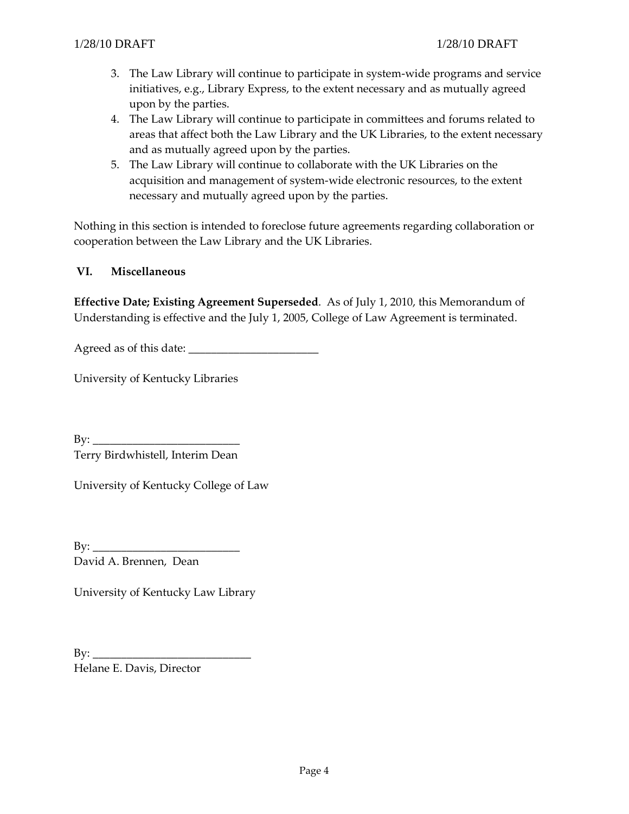- 3. The Law Library will continue to participate in system-wide programs and service initiatives, e.g., Library Express, to the extent necessary and as mutually agreed upon by the parties.
- 4. The Law Library will continue to participate in committees and forums related to areas that affect both the Law Library and the UK Libraries, to the extent necessary and as mutually agreed upon by the parties.
- 5. The Law Library will continue to collaborate with the UK Libraries on the acquisition and management of system-wide electronic resources, to the extent necessary and mutually agreed upon by the parties.

Nothing in this section is intended to foreclose future agreements regarding collaboration or cooperation between the Law Library and the UK Libraries.

#### **VI. Miscellaneous**

**Effective Date; Existing Agreement Superseded**. As of July 1, 2010, this Memorandum of Understanding is effective and the July 1, 2005, College of Law Agreement is terminated.

Agreed as of this date: \_\_\_\_\_\_\_\_\_\_\_\_\_\_\_\_\_\_\_\_\_\_\_

University of Kentucky Libraries

 $\mathbf{B}\mathbf{y}$ : Terry Birdwhistell, Interim Dean

University of Kentucky College of Law

By: \_\_\_\_\_\_\_\_\_\_\_\_\_\_\_\_\_\_\_\_\_\_\_\_\_\_ David A. Brennen, Dean

University of Kentucky Law Library

 $\mathbf{B} \mathbf{v}$ : Helane E. Davis, Director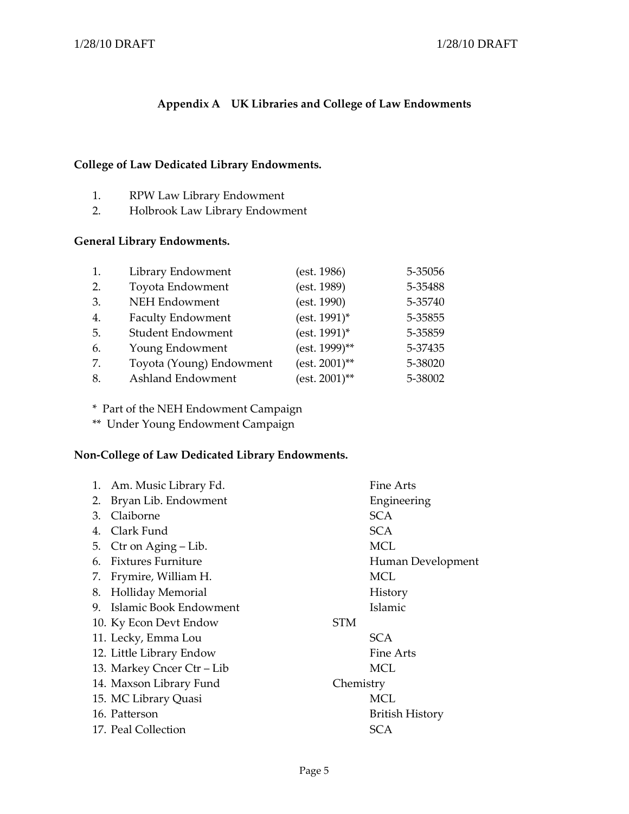# **Appendix A UK Libraries and College of Law Endowments**

## **College of Law Dedicated Library Endowments.**

- 1. RPW Law Library Endowment
- 2. Holbrook Law Library Endowment

## **General Library Endowments.**

| 1. | Library Endowment        | (est. 1986)      | 5-35056 |
|----|--------------------------|------------------|---------|
| 2. | Toyota Endowment         | (est. 1989)      | 5-35488 |
| 3. | <b>NEH Endowment</b>     | (est. 1990)      | 5-35740 |
| 4. | <b>Faculty Endowment</b> | (est. 1991)*     | 5-35855 |
| 5. | Student Endowment        | (est. 1991)*     | 5-35859 |
| 6. | Young Endowment          | (est. 1999)**    | 5-37435 |
| 7. | Toyota (Young) Endowment | $(est. 2001)$ ** | 5-38020 |
| 8. | Ashland Endowment        | $(est. 2001)$ ** | 5-38002 |

\* Part of the NEH Endowment Campaign

\*\* Under Young Endowment Campaign

## **Non-College of Law Dedicated Library Endowments.**

|    | 1. Am. Music Library Fd.   |            | Fine Arts              |
|----|----------------------------|------------|------------------------|
| 2. | Bryan Lib. Endowment       |            | Engineering            |
| 3. | Claiborne                  |            | <b>SCA</b>             |
| 4. | Clark Fund                 |            | <b>SCA</b>             |
| 5. | Ctr on Aging – Lib.        |            | MCL                    |
|    | 6. Fixtures Furniture      |            | Human Development      |
| 7. | Frymire, William H.        |            | MCL                    |
| 8. | <b>Holliday Memorial</b>   |            | History                |
|    | 9. Islamic Book Endowment  |            | Islamic                |
|    | 10. Ky Econ Devt Endow     | <b>STM</b> |                        |
|    | 11. Lecky, Emma Lou        |            | SCA.                   |
|    | 12. Little Library Endow   |            | Fine Arts              |
|    | 13. Markey Cncer Ctr – Lib |            | MCL                    |
|    | 14. Maxson Library Fund    | Chemistry  |                        |
|    | 15. MC Library Quasi       |            | MCL                    |
|    | 16. Patterson              |            | <b>British History</b> |
|    | 17. Peal Collection        |            | <b>SCA</b>             |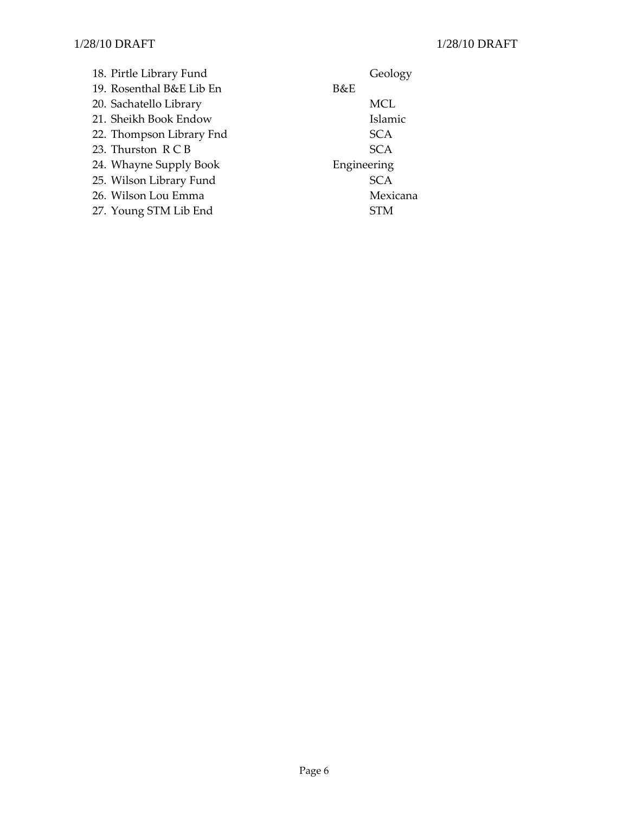18. Pirtle Library Fund Geology 19. Rosenthal B&E Lib En B&E 20. Sachatello Library MCL 21. Sheikh Book Endow Islamic 22. Thompson Library Fnd<br>
23. Thurston R C B SCA<br>
5CA 23. Thurston  $R \subset B$ 24. Whayne Supply Book Engineering 25. Wilson Library Fund SCA 26. Wilson Lou Emma Mexicana 27. Young STM Lib End STM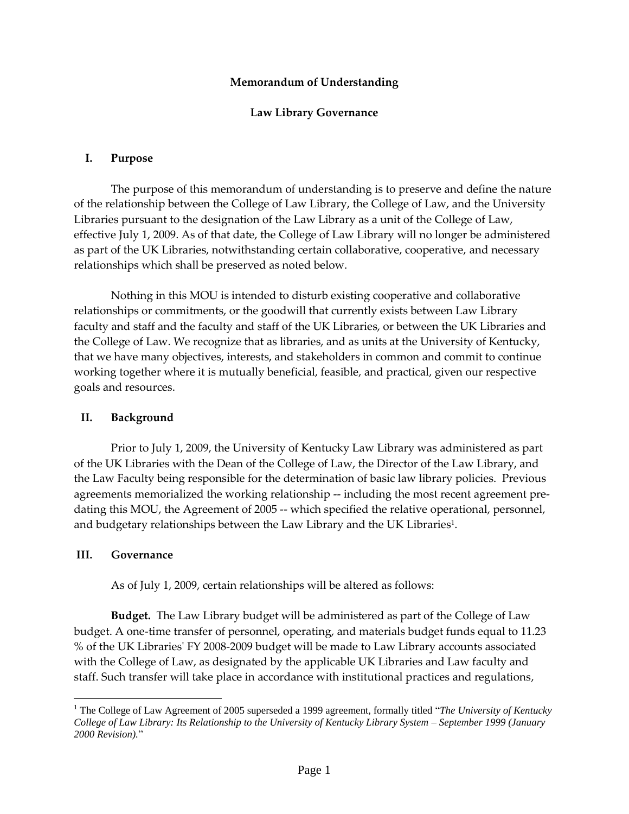#### **Memorandum of Understanding**

#### **Law Library Governance**

#### **I. Purpose**

The purpose of this memorandum of understanding is to preserve and define the nature of the relationship between the College of Law Library, the College of Law, and the University Libraries pursuant to the designation of the Law Library as a unit of the College of Law, effective July 1, 2009. As of that date, the College of Law Library will no longer be administered as part of the UK Libraries, notwithstanding certain collaborative, cooperative, and necessary relationships which shall be preserved as noted below.

Nothing in this MOU is intended to disturb existing cooperative and collaborative relationships or commitments, or the goodwill that currently exists between Law Library faculty and staff and the faculty and staff of the UK Libraries, or between the UK Libraries and the College of Law. We recognize that as libraries, and as units at the University of Kentucky, that we have many objectives, interests, and stakeholders in common and commit to continue working together where it is mutually beneficial, feasible, and practical, given our respective goals and resources.

#### **II. Background**

Prior to July 1, 2009, the University of Kentucky Law Library was administered as part of the UK Libraries with the Dean of the College of Law, the Director of the Law Library, and the Law Faculty being responsible for the determination of basic law library policies. Previous agreements memorialized the working relationship -- including the most recent agreement predating this MOU, the Agreement of 2005 -- which specified the relative operational, personnel, and budgetary relationships between the Law Library and the UK Libraries<sup>1</sup>.

#### **III. Governance**

As of July 1, 2009, certain relationships will be altered as follows:

**Budget.** The Law Library budget will be administered as part of the College of Law budget. A one-time transfer of personnel, operating, and materials budget funds equal to 11.23 % of the UK Libraries' FY 2008-2009 budget will be made to Law Library accounts associated with the College of Law, as designated by the applicable UK Libraries and Law faculty and staff. Such transfer will take place in accordance with institutional practices and regulations,

 $\overline{a}$ <sup>1</sup> The College of Law Agreement of 2005 superseded a 1999 agreement, formally titled "*The University of Kentucky College of Law Library: Its Relationship to the University of Kentucky Library System – September 1999 (January 2000 Revision).*"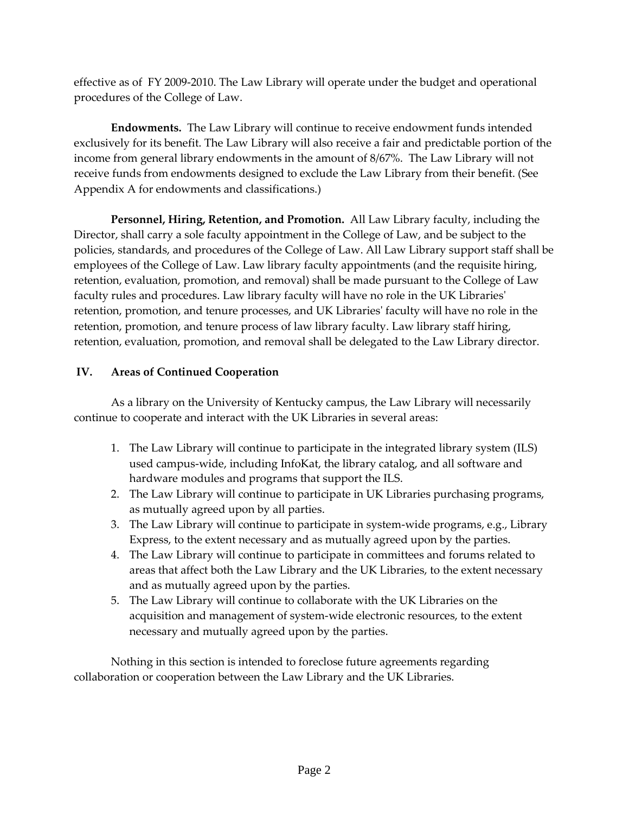effective as of FY 2009-2010. The Law Library will operate under the budget and operational procedures of the College of Law.

**Endowments.** The Law Library will continue to receive endowment funds intended exclusively for its benefit. The Law Library will also receive a fair and predictable portion of the income from general library endowments in the amount of 8/67%. The Law Library will not receive funds from endowments designed to exclude the Law Library from their benefit. (See Appendix A for endowments and classifications.)

**Personnel, Hiring, Retention, and Promotion.** All Law Library faculty, including the Director, shall carry a sole faculty appointment in the College of Law, and be subject to the policies, standards, and procedures of the College of Law. All Law Library support staff shall be employees of the College of Law. Law library faculty appointments (and the requisite hiring, retention, evaluation, promotion, and removal) shall be made pursuant to the College of Law faculty rules and procedures. Law library faculty will have no role in the UK Libraries' retention, promotion, and tenure processes, and UK Libraries' faculty will have no role in the retention, promotion, and tenure process of law library faculty. Law library staff hiring, retention, evaluation, promotion, and removal shall be delegated to the Law Library director.

# **IV. Areas of Continued Cooperation**

As a library on the University of Kentucky campus, the Law Library will necessarily continue to cooperate and interact with the UK Libraries in several areas:

- 1. The Law Library will continue to participate in the integrated library system (ILS) used campus-wide, including InfoKat, the library catalog, and all software and hardware modules and programs that support the ILS.
- 2. The Law Library will continue to participate in UK Libraries purchasing programs, as mutually agreed upon by all parties.
- 3. The Law Library will continue to participate in system-wide programs, e.g., Library Express, to the extent necessary and as mutually agreed upon by the parties.
- 4. The Law Library will continue to participate in committees and forums related to areas that affect both the Law Library and the UK Libraries, to the extent necessary and as mutually agreed upon by the parties.
- 5. The Law Library will continue to collaborate with the UK Libraries on the acquisition and management of system-wide electronic resources, to the extent necessary and mutually agreed upon by the parties.

Nothing in this section is intended to foreclose future agreements regarding collaboration or cooperation between the Law Library and the UK Libraries.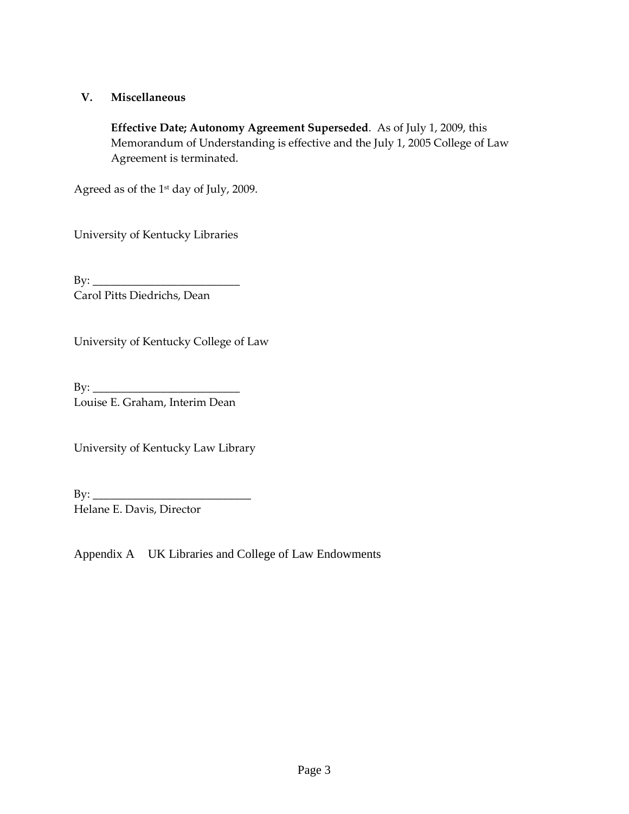## **V. Miscellaneous**

**Effective Date; Autonomy Agreement Superseded**. As of July 1, 2009, this Memorandum of Understanding is effective and the July 1, 2005 College of Law Agreement is terminated.

Agreed as of the 1st day of July, 2009.

University of Kentucky Libraries

 $\mathbf{B} \mathbf{y}$ : Carol Pitts Diedrichs, Dean

University of Kentucky College of Law

 $\mathbf{By:}$ Louise E. Graham, Interim Dean

University of Kentucky Law Library

 $By:$ Helane E. Davis, Director

Appendix A UK Libraries and College of Law Endowments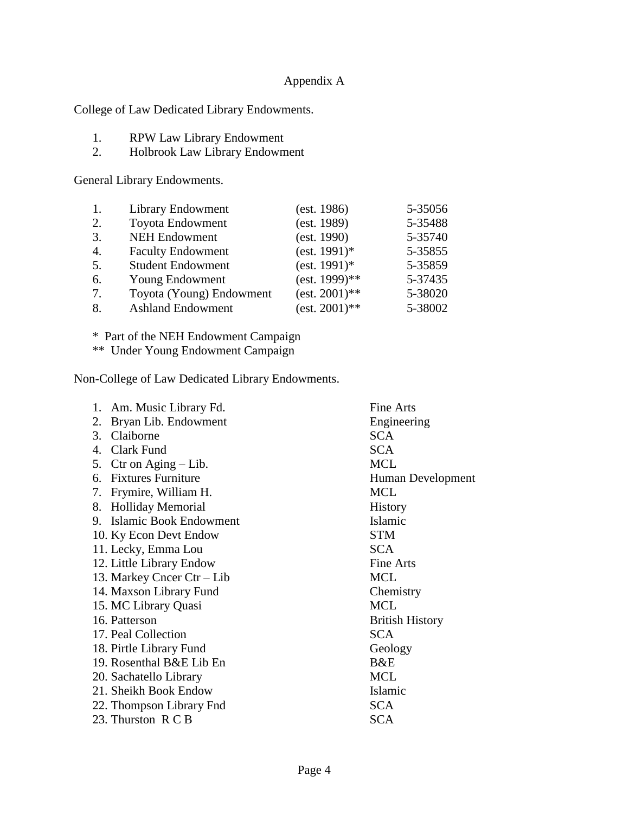# Appendix A

College of Law Dedicated Library Endowments.

- 1. RPW Law Library Endowment<br>2. Holbrook Law Library Endowm
- 2. Holbrook Law Library Endowment

General Library Endowments.

| 1. | Library Endowment        | (est. 1986)      | 5-35056 |
|----|--------------------------|------------------|---------|
| 2. | Toyota Endowment         | (est. 1989)      | 5-35488 |
| 3. | <b>NEH Endowment</b>     | (est. 1990)      | 5-35740 |
| 4. | <b>Faculty Endowment</b> | $(est. 1991)*$   | 5-35855 |
| 5. | <b>Student Endowment</b> | $(est. 1991)*$   | 5-35859 |
| 6. | Young Endowment          | $(est. 1999)**$  | 5-37435 |
| 7. | Toyota (Young) Endowment | $(est. 2001)$ ** | 5-38020 |
| 8. | <b>Ashland Endowment</b> | $(est. 2001)$ ** | 5-38002 |

\* Part of the NEH Endowment Campaign

\*\* Under Young Endowment Campaign

Non-College of Law Dedicated Library Endowments.

| Am. Music Library Fd.<br>1.    | Fine Arts              |
|--------------------------------|------------------------|
| Bryan Lib. Endowment<br>2.     | Engineering            |
| Claiborne<br>3.                | <b>SCA</b>             |
| Clark Fund<br>4.               | <b>SCA</b>             |
| 5. Ctr on Aging $-$ Lib.       | <b>MCL</b>             |
| 6. Fixtures Furniture          | Human Development      |
| Frymire, William H.<br>7.      | <b>MCL</b>             |
| <b>Holliday Memorial</b><br>8. | History                |
| 9. Islamic Book Endowment      | Islamic                |
| 10. Ky Econ Devt Endow         | <b>STM</b>             |
| 11. Lecky, Emma Lou            | <b>SCA</b>             |
| 12. Little Library Endow       | Fine Arts              |
| 13. Markey Cncer Ctr – Lib     | <b>MCL</b>             |
| 14. Maxson Library Fund        | Chemistry              |
| 15. MC Library Quasi           | <b>MCL</b>             |
| 16. Patterson                  | <b>British History</b> |
| 17. Peal Collection            | <b>SCA</b>             |
| 18. Pirtle Library Fund        | Geology                |
| 19. Rosenthal B&E Lib En       | B&E                    |
| 20. Sachatello Library         | <b>MCL</b>             |
| 21. Sheikh Book Endow          | Islamic                |
| 22. Thompson Library Fnd       | <b>SCA</b>             |
| 23. Thurston R C B             | <b>SCA</b>             |
|                                |                        |